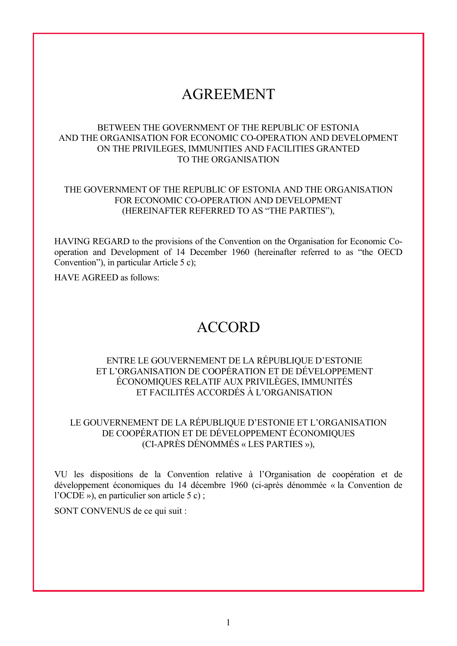# AGREEMENT

## BETWEEN THE GOVERNMENT OF THE REPUBLIC OF ESTONIA AND THE ORGANISATION FOR ECONOMIC CO-OPERATION AND DEVELOPMENT ON THE PRIVILEGES, IMMUNITIES AND FACILITIES GRANTED TO THE ORGANISATION

# THE GOVERNMENT OF THE REPUBLIC OF ESTONIA AND THE ORGANISATION FOR ECONOMIC CO-OPERATION AND DEVELOPMENT (HEREINAFTER REFERRED TO AS "THE PARTIES"),

HAVING REGARD to the provisions of the Convention on the Organisation for Economic Cooperation and Development of 14 December 1960 (hereinafter referred to as "the OECD Convention"), in particular Article 5 c);

HAVE AGREED as follows:

# ACCORD

# ENTRE LE GOUVERNEMENT DE LA RÉPUBLIQUE D'ESTONIE ET L'ORGANISATION DE COOPÉRATION ET DE DÉVELOPPEMENT ÉCONOMIQUES RELATIF AUX PRIVILÈGES, IMMUNITÉS ET FACILITÉS ACCORDÉS À L'ORGANISATION

# LE GOUVERNEMENT DE LA RÉPUBLIQUE D'ESTONIE ET L'ORGANISATION DE COOPÉRATION ET DE DÉVELOPPEMENT ÉCONOMIQUES (CI-APRÈS DÉNOMMÉS « LES PARTIES »),

VU les dispositions de la Convention relative à l'Organisation de coopération et de développement économiques du 14 décembre 1960 (ci-après dénommée « la Convention de l'OCDE »), en particulier son article 5 c) ;

SONT CONVENUS de ce qui suit :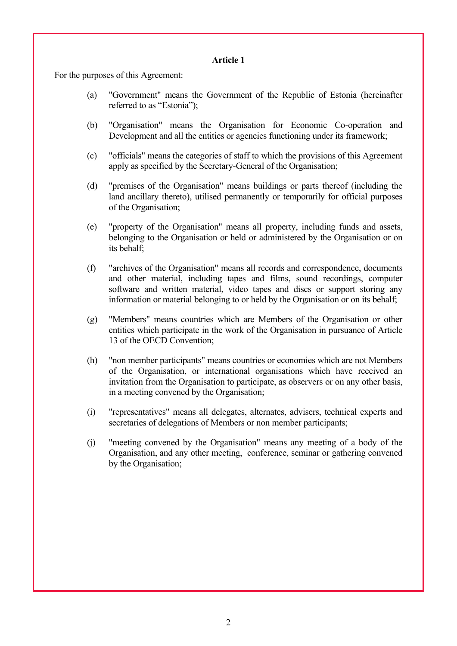For the purposes of this Agreement:

- (a) "Government" means the Government of the Republic of Estonia (hereinafter referred to as "Estonia");
- (b) "Organisation" means the Organisation for Economic Co-operation and Development and all the entities or agencies functioning under its framework;
- (c) "officials" means the categories of staff to which the provisions of this Agreement apply as specified by the Secretary-General of the Organisation;
- (d) "premises of the Organisation" means buildings or parts thereof (including the land ancillary thereto), utilised permanently or temporarily for official purposes of the Organisation;
- (e) "property of the Organisation" means all property, including funds and assets, belonging to the Organisation or held or administered by the Organisation or on its behalf;
- (f) "archives of the Organisation" means all records and correspondence, documents and other material, including tapes and films, sound recordings, computer software and written material, video tapes and discs or support storing any information or material belonging to or held by the Organisation or on its behalf;
- (g) "Members" means countries which are Members of the Organisation or other entities which participate in the work of the Organisation in pursuance of Article 13 of the OECD Convention;
- (h) "non member participants" means countries or economies which are not Members of the Organisation, or international organisations which have received an invitation from the Organisation to participate, as observers or on any other basis, in a meeting convened by the Organisation;
- (i) "representatives" means all delegates, alternates, advisers, technical experts and secretaries of delegations of Members or non member participants;
- (j) "meeting convened by the Organisation" means any meeting of a body of the Organisation, and any other meeting, conference, seminar or gathering convened by the Organisation;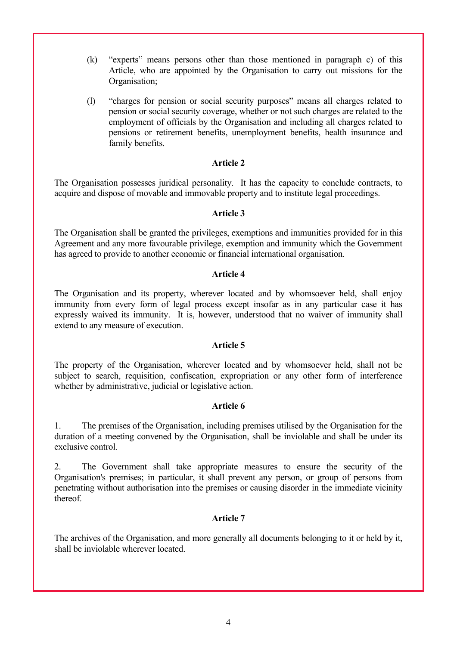- (k) "experts" means persons other than those mentioned in paragraph c) of this Article, who are appointed by the Organisation to carry out missions for the Organisation;
- (l) "charges for pension or social security purposes" means all charges related to pension or social security coverage, whether or not such charges are related to the employment of officials by the Organisation and including all charges related to pensions or retirement benefits, unemployment benefits, health insurance and family benefits.

The Organisation possesses juridical personality. It has the capacity to conclude contracts, to acquire and dispose of movable and immovable property and to institute legal proceedings.

## **Article 3**

The Organisation shall be granted the privileges, exemptions and immunities provided for in this Agreement and any more favourable privilege, exemption and immunity which the Government has agreed to provide to another economic or financial international organisation.

## **Article 4**

The Organisation and its property, wherever located and by whomsoever held, shall enjoy immunity from every form of legal process except insofar as in any particular case it has expressly waived its immunity. It is, however, understood that no waiver of immunity shall extend to any measure of execution.

# **Article 5**

The property of the Organisation, wherever located and by whomsoever held, shall not be subject to search, requisition, confiscation, expropriation or any other form of interference whether by administrative, judicial or legislative action.

#### **Article 6**

1. The premises of the Organisation, including premises utilised by the Organisation for the duration of a meeting convened by the Organisation, shall be inviolable and shall be under its exclusive control.

2. The Government shall take appropriate measures to ensure the security of the Organisation's premises; in particular, it shall prevent any person, or group of persons from penetrating without authorisation into the premises or causing disorder in the immediate vicinity thereof.

# **Article 7**

The archives of the Organisation, and more generally all documents belonging to it or held by it, shall be inviolable wherever located.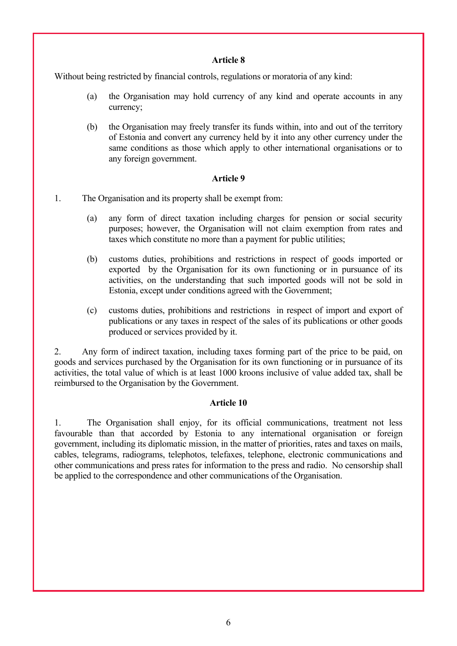Without being restricted by financial controls, regulations or moratoria of any kind:

- (a) the Organisation may hold currency of any kind and operate accounts in any currency;
- (b) the Organisation may freely transfer its funds within, into and out of the territory of Estonia and convert any currency held by it into any other currency under the same conditions as those which apply to other international organisations or to any foreign government.

## **Article 9**

- 1. The Organisation and its property shall be exempt from:
	- (a) any form of direct taxation including charges for pension or social security purposes; however, the Organisation will not claim exemption from rates and taxes which constitute no more than a payment for public utilities;
	- (b) customs duties, prohibitions and restrictions in respect of goods imported or exported by the Organisation for its own functioning or in pursuance of its activities, on the understanding that such imported goods will not be sold in Estonia, except under conditions agreed with the Government;
	- (c) customs duties, prohibitions and restrictions in respect of import and export of publications or any taxes in respect of the sales of its publications or other goods produced or services provided by it.

2. Any form of indirect taxation, including taxes forming part of the price to be paid, on goods and services purchased by the Organisation for its own functioning or in pursuance of its activities, the total value of which is at least 1000 kroons inclusive of value added tax, shall be reimbursed to the Organisation by the Government.

# **Article 10**

1. The Organisation shall enjoy, for its official communications, treatment not less favourable than that accorded by Estonia to any international organisation or foreign government, including its diplomatic mission, in the matter of priorities, rates and taxes on mails, cables, telegrams, radiograms, telephotos, telefaxes, telephone, electronic communications and other communications and press rates for information to the press and radio. No censorship shall be applied to the correspondence and other communications of the Organisation.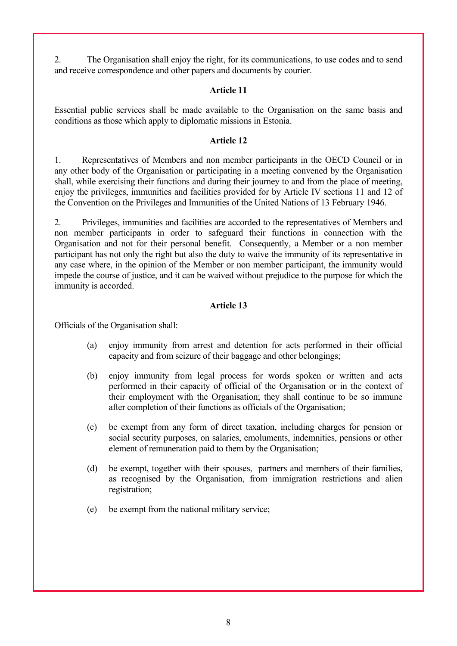2. The Organisation shall enjoy the right, for its communications, to use codes and to send and receive correspondence and other papers and documents by courier.

## **Article 11**

Essential public services shall be made available to the Organisation on the same basis and conditions as those which apply to diplomatic missions in Estonia.

## **Article 12**

1. Representatives of Members and non member participants in the OECD Council or in any other body of the Organisation or participating in a meeting convened by the Organisation shall, while exercising their functions and during their journey to and from the place of meeting, enjoy the privileges, immunities and facilities provided for by Article IV sections 11 and 12 of the Convention on the Privileges and Immunities of the United Nations of 13 February 1946.

2. Privileges, immunities and facilities are accorded to the representatives of Members and non member participants in order to safeguard their functions in connection with the Organisation and not for their personal benefit. Consequently, a Member or a non member participant has not only the right but also the duty to waive the immunity of its representative in any case where, in the opinion of the Member or non member participant, the immunity would impede the course of justice, and it can be waived without prejudice to the purpose for which the immunity is accorded.

## **Article 13**

Officials of the Organisation shall:

- (a) enjoy immunity from arrest and detention for acts performed in their official capacity and from seizure of their baggage and other belongings;
- (b) enjoy immunity from legal process for words spoken or written and acts performed in their capacity of official of the Organisation or in the context of their employment with the Organisation; they shall continue to be so immune after completion of their functions as officials of the Organisation;
- (c) be exempt from any form of direct taxation, including charges for pension or social security purposes, on salaries, emoluments, indemnities, pensions or other element of remuneration paid to them by the Organisation;
- (d) be exempt, together with their spouses, partners and members of their families, as recognised by the Organisation, from immigration restrictions and alien registration;
- (e) be exempt from the national military service;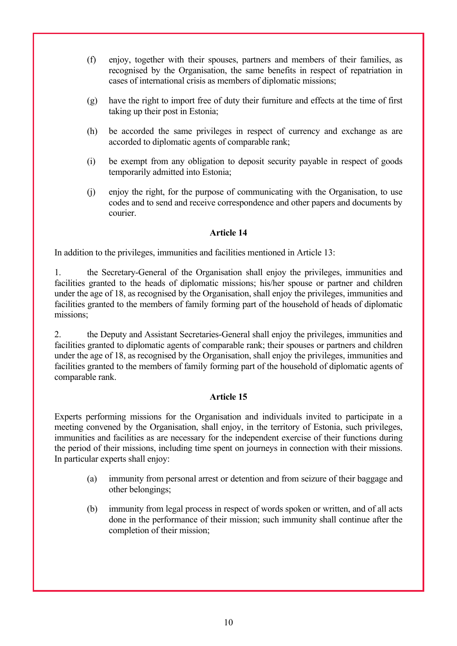- (f) enjoy, together with their spouses, partners and members of their families, as recognised by the Organisation, the same benefits in respect of repatriation in cases of international crisis as members of diplomatic missions;
- (g) have the right to import free of duty their furniture and effects at the time of first taking up their post in Estonia;
- (h) be accorded the same privileges in respect of currency and exchange as are accorded to diplomatic agents of comparable rank;
- (i) be exempt from any obligation to deposit security payable in respect of goods temporarily admitted into Estonia;
- (j) enjoy the right, for the purpose of communicating with the Organisation, to use codes and to send and receive correspondence and other papers and documents by courier.

In addition to the privileges, immunities and facilities mentioned in Article 13:

1. the Secretary-General of the Organisation shall enjoy the privileges, immunities and facilities granted to the heads of diplomatic missions; his/her spouse or partner and children under the age of 18, as recognised by the Organisation, shall enjoy the privileges, immunities and facilities granted to the members of family forming part of the household of heads of diplomatic missions;

2. the Deputy and Assistant Secretaries-General shall enjoy the privileges, immunities and facilities granted to diplomatic agents of comparable rank; their spouses or partners and children under the age of 18, as recognised by the Organisation, shall enjoy the privileges, immunities and facilities granted to the members of family forming part of the household of diplomatic agents of comparable rank.

#### **Article 15**

Experts performing missions for the Organisation and individuals invited to participate in a meeting convened by the Organisation, shall enjoy, in the territory of Estonia, such privileges, immunities and facilities as are necessary for the independent exercise of their functions during the period of their missions, including time spent on journeys in connection with their missions. In particular experts shall enjoy:

- (a) immunity from personal arrest or detention and from seizure of their baggage and other belongings;
- (b) immunity from legal process in respect of words spoken or written, and of all acts done in the performance of their mission; such immunity shall continue after the completion of their mission;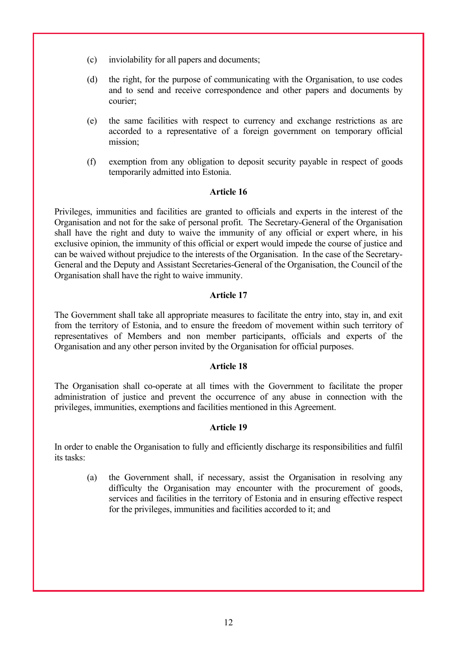- (c) inviolability for all papers and documents;
- (d) the right, for the purpose of communicating with the Organisation, to use codes and to send and receive correspondence and other papers and documents by courier;
- (e) the same facilities with respect to currency and exchange restrictions as are accorded to a representative of a foreign government on temporary official mission;
- (f) exemption from any obligation to deposit security payable in respect of goods temporarily admitted into Estonia.

Privileges, immunities and facilities are granted to officials and experts in the interest of the Organisation and not for the sake of personal profit. The Secretary-General of the Organisation shall have the right and duty to waive the immunity of any official or expert where, in his exclusive opinion, the immunity of this official or expert would impede the course of justice and can be waived without prejudice to the interests of the Organisation. In the case of the Secretary-General and the Deputy and Assistant Secretaries-General of the Organisation, the Council of the Organisation shall have the right to waive immunity.

#### **Article 17**

The Government shall take all appropriate measures to facilitate the entry into, stay in, and exit from the territory of Estonia, and to ensure the freedom of movement within such territory of representatives of Members and non member participants, officials and experts of the Organisation and any other person invited by the Organisation for official purposes.

#### **Article 18**

The Organisation shall co-operate at all times with the Government to facilitate the proper administration of justice and prevent the occurrence of any abuse in connection with the privileges, immunities, exemptions and facilities mentioned in this Agreement.

#### **Article 19**

In order to enable the Organisation to fully and efficiently discharge its responsibilities and fulfil its tasks:

(a) the Government shall, if necessary, assist the Organisation in resolving any difficulty the Organisation may encounter with the procurement of goods, services and facilities in the territory of Estonia and in ensuring effective respect for the privileges, immunities and facilities accorded to it; and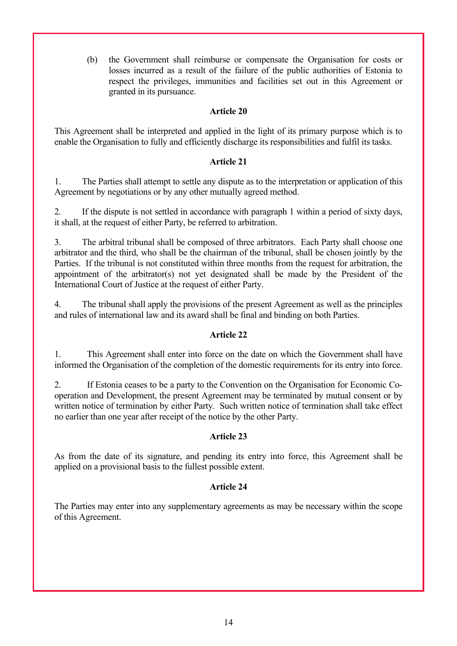(b) the Government shall reimburse or compensate the Organisation for costs or losses incurred as a result of the failure of the public authorities of Estonia to respect the privileges, immunities and facilities set out in this Agreement or granted in its pursuance.

## **Article 20**

This Agreement shall be interpreted and applied in the light of its primary purpose which is to enable the Organisation to fully and efficiently discharge its responsibilities and fulfil its tasks.

## **Article 21**

1. The Parties shall attempt to settle any dispute as to the interpretation or application of this Agreement by negotiations or by any other mutually agreed method.

2. If the dispute is not settled in accordance with paragraph 1 within a period of sixty days, it shall, at the request of either Party, be referred to arbitration.

3. The arbitral tribunal shall be composed of three arbitrators. Each Party shall choose one arbitrator and the third, who shall be the chairman of the tribunal, shall be chosen jointly by the Parties. If the tribunal is not constituted within three months from the request for arbitration, the appointment of the arbitrator(s) not yet designated shall be made by the President of the International Court of Justice at the request of either Party.

4. The tribunal shall apply the provisions of the present Agreement as well as the principles and rules of international law and its award shall be final and binding on both Parties.

# **Article 22**

1. This Agreement shall enter into force on the date on which the Government shall have informed the Organisation of the completion of the domestic requirements for its entry into force.

2. If Estonia ceases to be a party to the Convention on the Organisation for Economic Cooperation and Development, the present Agreement may be terminated by mutual consent or by written notice of termination by either Party. Such written notice of termination shall take effect no earlier than one year after receipt of the notice by the other Party.

# **Article 23**

As from the date of its signature, and pending its entry into force, this Agreement shall be applied on a provisional basis to the fullest possible extent.

#### **Article 24**

The Parties may enter into any supplementary agreements as may be necessary within the scope of this Agreement.